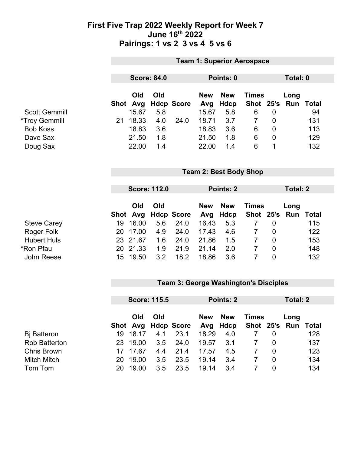#### **First Five Trap 2022 Weekly Report for Week 7 June 16th 2022 Pairings: 1 vs 2 3 vs 4 5 vs 6**

|                      | <b>Team 1: Superior Aerospace</b> |              |                     |                   |                   |                           |                           |                |                    |              |
|----------------------|-----------------------------------|--------------|---------------------|-------------------|-------------------|---------------------------|---------------------------|----------------|--------------------|--------------|
|                      |                                   |              |                     |                   |                   |                           |                           |                |                    |              |
|                      | <b>Score: 84.0</b>                |              |                     |                   | Points: 0         |                           |                           |                |                    | Total: 0     |
|                      | Shot                              | Old          | Old                 |                   | <b>New</b>        | <b>New</b>                | <b>Times</b><br>Shot 25's |                | Long<br><b>Run</b> | <b>Total</b> |
| <b>Scott Gemmill</b> |                                   | Avg<br>15.67 | 5.8                 | <b>Hdcp Score</b> | Avg<br>15.67      | <b>Hdcp</b><br>5.8        | 6                         | $\mathbf 0$    |                    | 94           |
| <i>*Troy Gemmill</i> | 21                                | 18.33        | 4.0                 | 24.0              | 18.71             | 3.7                       | $\overline{7}$            | $\overline{0}$ |                    | 131          |
| <b>Bob Koss</b>      |                                   | 18.83        | 3.6                 |                   | 18.83             | 3.6                       | 6                         | $\overline{0}$ |                    | 113          |
| Dave Sax             |                                   | 21.50        | 1.8                 |                   | 21.50             | 1.8                       | 6                         | $\overline{0}$ |                    | 129          |
| Doug Sax             |                                   | 22.00        | 1.4                 |                   | 22.00             | 1.4                       | 6                         | 1              |                    | 132          |
|                      | <b>Team 2: Best Body Shop</b>     |              |                     |                   |                   |                           |                           |                |                    |              |
|                      |                                   |              | <b>Score: 112.0</b> |                   |                   | Points: 2                 |                           |                | <b>Total: 2</b>    |              |
|                      | Shot                              | Old<br>Avg   | Old                 | <b>Hdcp Score</b> | <b>New</b><br>Avg | <b>New</b><br><b>Hdcp</b> | <b>Times</b><br>Shot 25's |                | Long<br>Run        | <b>Total</b> |
| <b>Steve Carey</b>   | 19                                | 16.00        | 5.6                 | 24.0              | 16.43             | 5.3                       | $\overline{7}$            | $\overline{0}$ |                    | 115          |
| Roger Folk           | 20                                | 17.00        | 4.9                 | 24.0              | 17.43             | 4.6                       | $\overline{7}$            | $\overline{0}$ |                    | 122          |
| <b>Hubert Huls</b>   |                                   | 23 21.67     | 1.6                 | 24.0              | 21.86             | 1.5                       | $\overline{7}$            | $\overline{0}$ |                    | 153          |
| *Ron Pfau            | 20                                | 21.33        | 1.9                 | 21.9              | 21.14             | 2.0                       | $\overline{7}$            | $\mathbf 0$    |                    | 148          |
| John Reese           | 15 <sub>1</sub>                   | 19.50        | 3.2                 | 18.2              | 18.86             | 3.6                       | $\overline{7}$            | $\overline{0}$ |                    | 132          |

## **Team 3: George Washington's Disciples**

|                      | <b>Score: 115.5</b> |          |     | <b>Points: 2</b>    |       |                        | Total: 2     |          |                             |     |
|----------------------|---------------------|----------|-----|---------------------|-------|------------------------|--------------|----------|-----------------------------|-----|
|                      |                     | Old      | Old | Shot Avg Hdcp Score | New   | <b>New</b><br>Avg Hdcp | <b>Times</b> |          | Long<br>Shot 25's Run Total |     |
| Bj Batteron          |                     | 19 18.17 | 4.1 | 23.1                | 18.29 | 4.0                    |              |          |                             | 128 |
| <b>Rob Batterton</b> |                     | 23 19.00 | 3.5 | 24.0                | 19.57 | 3.1                    |              | $\Omega$ |                             | 137 |
| <b>Chris Brown</b>   |                     | 17 17 67 | 4.4 | 21.4                | 17.57 | 4.5                    |              | $\Omega$ |                             | 123 |
| <b>Mitch Mitch</b>   | 20.                 | 19.00    | 3.5 | 23.5                | 19.14 | 3.4                    |              | 0        |                             | 134 |
| Tom Tom              | 20.                 | 19.00    | 3.5 | 23.5                | 19.14 | 3.4                    |              | 0        |                             | 134 |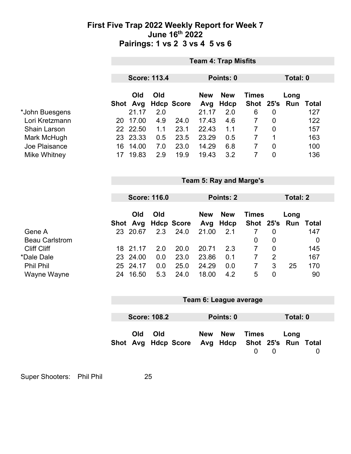#### **First Five Trap 2022 Weekly Report for Week 7 June 16th 2022 Pairings: 1 vs 2 3 vs 4 5 vs 6**

|                       |          |                                |                     |                   |                            | <b>Team 4: Trap Misfits</b>      |                                |                 |                          |              |  |
|-----------------------|----------|--------------------------------|---------------------|-------------------|----------------------------|----------------------------------|--------------------------------|-----------------|--------------------------|--------------|--|
|                       |          | <b>Score: 113.4</b>            |                     |                   | Points: 0                  |                                  |                                |                 | <b>Total: 0</b>          |              |  |
| *John Buesgens        | Shot Avg | Old<br>21.17                   | Old<br>2.0          | <b>Hdcp Score</b> | <b>New</b><br>Avg<br>21.17 | <b>New</b><br><b>Hdcp</b><br>2.0 | <b>Times</b><br>Shot 25's<br>6 | $\mathbf 0$     | Long<br><b>Run Total</b> | 127          |  |
| Lori Kretzmann        |          | 20 17.00                       | 4.9                 | 24.0              | 17.43                      | 4.6                              | $\overline{7}$                 | $\mathbf 0$     |                          | 122          |  |
| <b>Shain Larson</b>   |          | 22 22.50                       | 1.1                 | 23.1              | 22.43                      | 1.1                              | $\overline{7}$                 | $\mathbf 0$     |                          | 157          |  |
| Mark McHugh           |          | 23 23.33                       | 0.5                 | 23.5              | 23.29                      | 0.5                              | $\overline{7}$                 | $\mathbf 1$     |                          | 163          |  |
| Joe Plaisance         | 16       | 14.00                          | 7.0                 | 23.0              | 14.29                      | 6.8                              | $\overline{7}$                 | $\mathbf 0$     |                          | 100          |  |
| <b>Mike Whitney</b>   |          | 17 19.83                       | 2.9                 | 19.9              | 19.43                      | 3.2                              | $\overline{7}$                 | $\overline{0}$  |                          | 136          |  |
|                       |          | <b>Team 5: Ray and Marge's</b> |                     |                   |                            |                                  |                                |                 |                          |              |  |
|                       |          |                                |                     |                   |                            |                                  |                                |                 |                          |              |  |
|                       |          |                                | <b>Score: 116.0</b> |                   | Points: 2                  |                                  |                                | <b>Total: 2</b> |                          |              |  |
|                       |          | Old                            | Old                 |                   | <b>New</b>                 | <b>New</b>                       | <b>Times</b>                   |                 | Long                     |              |  |
|                       | Shot Avg |                                |                     | <b>Hdcp Score</b> | Avg                        | <b>Hdcp</b>                      | Shot 25's                      |                 | Run                      | <b>Total</b> |  |
| Gene A                |          | 23 20.67                       | 2.3                 | 24.0              | 21.00                      | 2.1                              | $\overline{7}$                 | $\mathbf 0$     |                          | 147          |  |
| <b>Beau Carlstrom</b> |          |                                |                     |                   |                            |                                  | 0                              | $\mathbf 0$     |                          | $\mathbf 0$  |  |
| <b>Cliff Cliff</b>    |          | 18 21.17                       | 2.0                 | 20.0              | 20.71                      | 2.3                              | $\overline{7}$                 | 0               |                          | 145          |  |
| *Dale Dale            | 23       | 24.00                          | 0.0                 | 23.0              | 23.86                      | 0.1                              | $\overline{7}$                 | $\overline{2}$  |                          | 167          |  |
| <b>Phil Phil</b>      |          | 25 24.17                       | 0.0                 | 25.0              | 24.29                      | 0.0                              | $\overline{7}$                 | 3               | 25                       | 170          |  |
| Wayne Wayne           |          | 24 16.50                       | 5.3                 | 24.0              | 18.00                      | 4.2                              | 5                              | $\overline{0}$  |                          | 90           |  |
|                       |          |                                |                     |                   |                            | Team 6: League average           |                                |                 |                          |              |  |
|                       |          | <b>Score: 108.2</b>            |                     |                   | Points: 0                  |                                  |                                | Total: 0        |                          |              |  |
|                       |          |                                |                     |                   |                            |                                  |                                |                 |                          |              |  |

|  | Old Old |                                                  | New New Times |                   | Long |                |
|--|---------|--------------------------------------------------|---------------|-------------------|------|----------------|
|  |         | Shot Avg Hdcp Score Avg Hdcp Shot 25's Run Total |               |                   |      |                |
|  |         |                                                  |               | $\Omega$ $\Omega$ |      | $\overline{0}$ |

Super Shooters: Phil Phil 25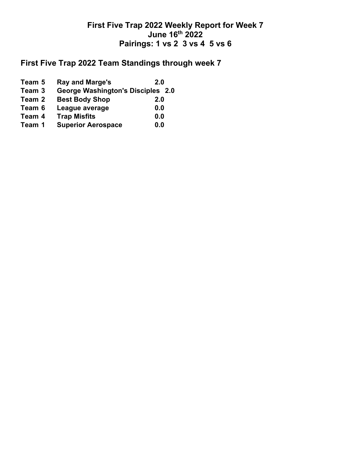## **First Five Trap 2022 Weekly Report for Week 7 June 16th 2022 Pairings: 1 vs 2 3 vs 4 5 vs 6**

## **First Five Trap 2022 Team Standings through week 7**

**Team 5 • Ray and Marge's 12.0**<br>**Team 3 • George Washington's Disciples Team 3 George Washington's Disciples 2.0 Team 2 Best Body Shop 2.0 Team 6 League average 0.0 Team 4 Trap Misfits 0.0 Superior Aerospace 0.0**